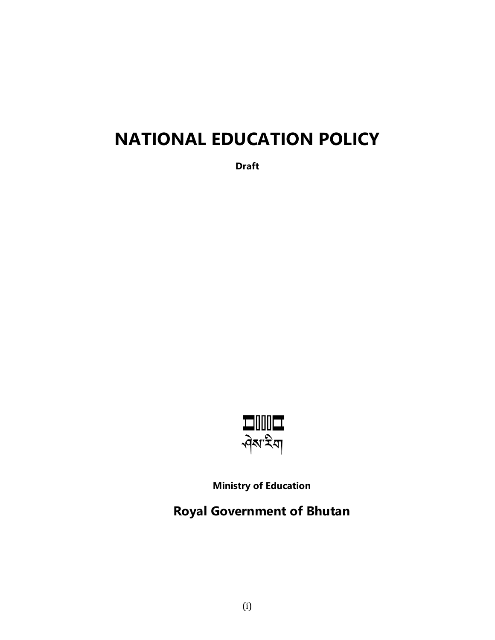# **NATIONAL EDUCATION POLICY**

**Draft**



**Ministry of Education**

**Royal Government of Bhutan**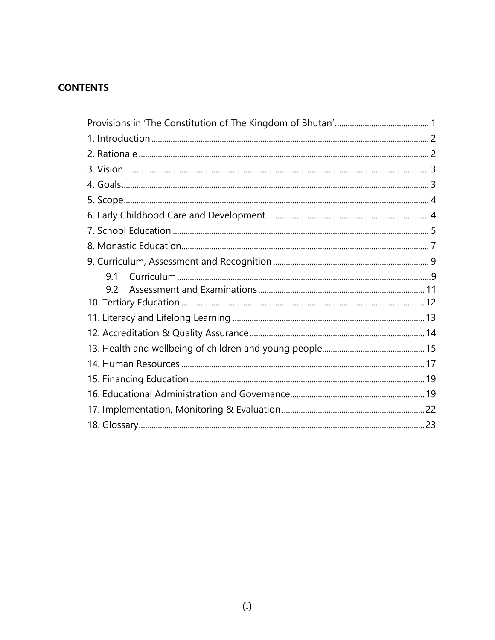# **CONTENTS**

| 9.1 |
|-----|
| 92  |
|     |
|     |
|     |
|     |
|     |
|     |
|     |
|     |
|     |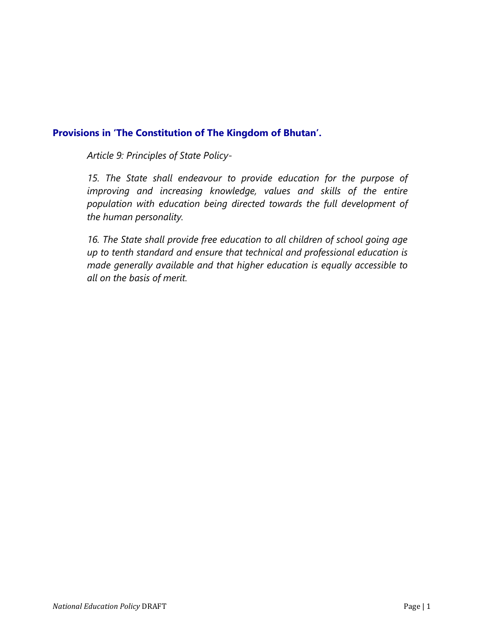# <span id="page-2-0"></span>**Provisions in 'The Constitution of The Kingdom of Bhutan'.**

*Article 9: Principles of State Policy-*

*15. The State shall endeavour to provide education for the purpose of improving and increasing knowledge, values and skills of the entire population with education being directed towards the full development of the human personality.*

*16. The State shall provide free education to all children of school going age up to tenth standard and ensure that technical and professional education is made generally available and that higher education is equally accessible to all on the basis of merit.*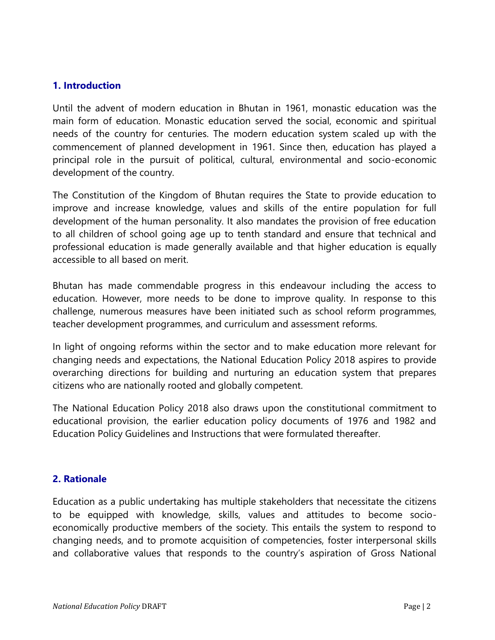# <span id="page-3-0"></span>**1. Introduction**

Until the advent of modern education in Bhutan in 1961, monastic education was the main form of education. Monastic education served the social, economic and spiritual needs of the country for centuries. The modern education system scaled up with the commencement of planned development in 1961. Since then, education has played a principal role in the pursuit of political, cultural, environmental and socio-economic development of the country.

The Constitution of the Kingdom of Bhutan requires the State to provide education to improve and increase knowledge, values and skills of the entire population for full development of the human personality. It also mandates the provision of free education to all children of school going age up to tenth standard and ensure that technical and professional education is made generally available and that higher education is equally accessible to all based on merit.

Bhutan has made commendable progress in this endeavour including the access to education. However, more needs to be done to improve quality. In response to this challenge, numerous measures have been initiated such as school reform programmes, teacher development programmes, and curriculum and assessment reforms.

In light of ongoing reforms within the sector and to make education more relevant for changing needs and expectations, the National Education Policy 2018 aspires to provide overarching directions for building and nurturing an education system that prepares citizens who are nationally rooted and globally competent.

The National Education Policy 2018 also draws upon the constitutional commitment to educational provision, the earlier education policy documents of 1976 and 1982 and Education Policy Guidelines and Instructions that were formulated thereafter.

### <span id="page-3-1"></span>**2. Rationale**

Education as a public undertaking has multiple stakeholders that necessitate the citizens to be equipped with knowledge, skills, values and attitudes to become socioeconomically productive members of the society. This entails the system to respond to changing needs, and to promote acquisition of competencies, foster interpersonal skills and collaborative values that responds to the country's aspiration of Gross National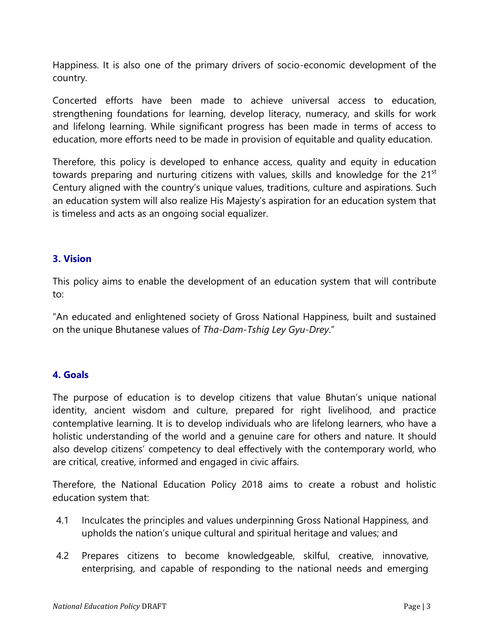Happiness. It is also one of the primary drivers of socio-economic development of the country.

Concerted efforts have been made to achieve universal access to education, strengthening foundations for learning, develop literacy, numeracy, and skills for work and lifelong learning. While significant progress has been made in terms of access to education, more efforts need to be made in provision of equitable and quality education.

Therefore, this policy is developed to enhance access, quality and equity in education towards preparing and nurturing citizens with values, skills and knowledge for the 21<sup>st</sup> Century aligned with the country's unique values, traditions, culture and aspirations. Such an education system will also realize His Majesty's aspiration for an education system that is timeless and acts as an ongoing social equalizer.

# <span id="page-4-0"></span>**3. Vision**

This policy aims to enable the development of an education system that will contribute to:

"An educated and enlightened society of Gross National Happiness, built and sustained on the unique Bhutanese values of *Tha-Dam-Tshig Ley Gyu-Drey*."

# <span id="page-4-1"></span>**4. Goals**

The purpose of education is to develop citizens that value Bhutan's unique national identity, ancient wisdom and culture, prepared for right livelihood, and practice contemplative learning. It is to develop individuals who are lifelong learners, who have a holistic understanding of the world and a genuine care for others and nature. It should also develop citizens' competency to deal effectively with the contemporary world, who are critical, creative, informed and engaged in civic affairs.

Therefore, the National Education Policy 2018 aims to create a robust and holistic education system that:

- 4.1 Inculcates the principles and values underpinning Gross National Happiness, and upholds the nation's unique cultural and spiritual heritage and values; and
- 4.2 Prepares citizens to become knowledgeable, skilful, creative, innovative, enterprising, and capable of responding to the national needs and emerging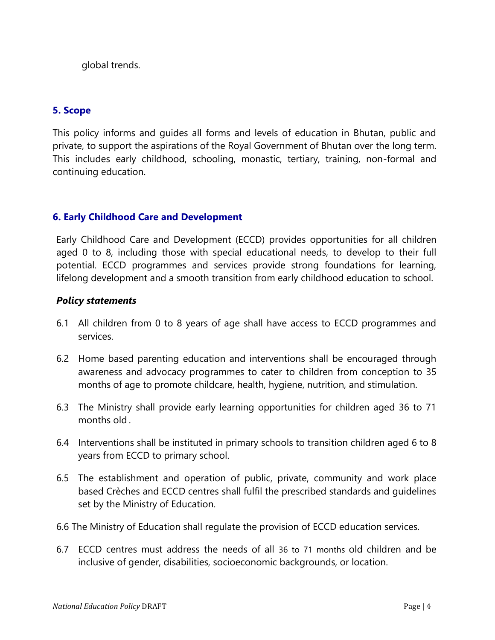global trends.

# <span id="page-5-0"></span>**5. Scope**

This policy informs and guides all forms and levels of education in Bhutan, public and private, to support the aspirations of the Royal Government of Bhutan over the long term. This includes early childhood, schooling, monastic, tertiary, training, non-formal and continuing education.

# <span id="page-5-1"></span>**6. Early Childhood Care and Development**

Early Childhood Care and Development (ECCD) provides opportunities for all children aged 0 to 8, including those with special educational needs, to develop to their full potential. ECCD programmes and services provide strong foundations for learning, lifelong development and a smooth transition from early childhood education to school.

- 6.1 All children from 0 to 8 years of age shall have access to ECCD programmes and services.
- 6.2 Home based parenting education and interventions shall be encouraged through awareness and advocacy programmes to cater to children from conception to 35 months of age to promote childcare, health, hygiene, nutrition, and stimulation.
- 6.3 The Ministry shall provide early learning opportunities for children aged 36 to 71 months old .
- 6.4 Interventions shall be instituted in primary schools to transition children aged 6 to 8 years from ECCD to primary school.
- 6.5 The establishment and operation of public, private, community and work place based Crèches and ECCD centres shall fulfil the prescribed standards and guidelines set by the Ministry of Education.
- 6.6 The Ministry of Education shall regulate the provision of ECCD education services.
- 6.7 ECCD centres must address the needs of all 36 to 71 months old children and be inclusive of gender, disabilities, socioeconomic backgrounds, or location.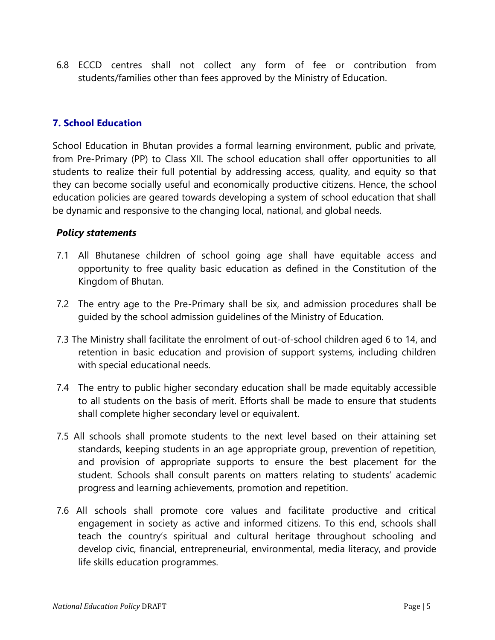6.8 ECCD centres shall not collect any form of fee or contribution from students/families other than fees approved by the Ministry of Education.

# <span id="page-6-0"></span>**7. School Education**

School Education in Bhutan provides a formal learning environment, public and private, from Pre-Primary (PP) to Class XII. The school education shall offer opportunities to all students to realize their full potential by addressing access, quality, and equity so that they can become socially useful and economically productive citizens. Hence, the school education policies are geared towards developing a system of school education that shall be dynamic and responsive to the changing local, national, and global needs.

- 7.1 All Bhutanese children of school going age shall have equitable access and opportunity to free quality basic education as defined in the Constitution of the Kingdom of Bhutan.
- 7.2 The entry age to the Pre-Primary shall be six, and admission procedures shall be guided by the school admission guidelines of the Ministry of Education.
- 7.3 The Ministry shall facilitate the enrolment of out-of-school children aged 6 to 14, and retention in basic education and provision of support systems, including children with special educational needs.
- 7.4 The entry to public higher secondary education shall be made equitably accessible to all students on the basis of merit. Efforts shall be made to ensure that students shall complete higher secondary level or equivalent.
- 7.5 All schools shall promote students to the next level based on their attaining set standards, keeping students in an age appropriate group, prevention of repetition, and provision of appropriate supports to ensure the best placement for the student. Schools shall consult parents on matters relating to students' academic progress and learning achievements, promotion and repetition.
- 7.6 All schools shall promote core values and facilitate productive and critical engagement in society as active and informed citizens. To this end, schools shall teach the country's spiritual and cultural heritage throughout schooling and develop civic, financial, entrepreneurial, environmental, media literacy, and provide life skills education programmes.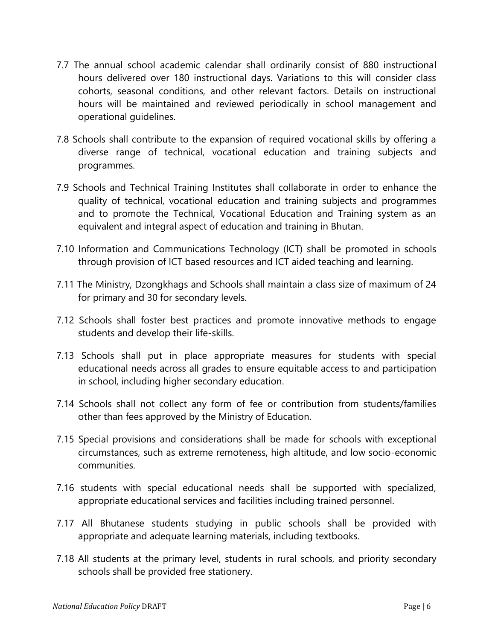- 7.7 The annual school academic calendar shall ordinarily consist of 880 instructional hours delivered over 180 instructional days. Variations to this will consider class cohorts, seasonal conditions, and other relevant factors. Details on instructional hours will be maintained and reviewed periodically in school management and operational guidelines.
- 7.8 Schools shall contribute to the expansion of required vocational skills by offering a diverse range of technical, vocational education and training subjects and programmes.
- 7.9 Schools and Technical Training Institutes shall collaborate in order to enhance the quality of technical, vocational education and training subjects and programmes and to promote the Technical, Vocational Education and Training system as an equivalent and integral aspect of education and training in Bhutan.
- 7.10 Information and Communications Technology (ICT) shall be promoted in schools through provision of ICT based resources and ICT aided teaching and learning.
- 7.11 The Ministry, Dzongkhags and Schools shall maintain a class size of maximum of 24 for primary and 30 for secondary levels.
- 7.12 Schools shall foster best practices and promote innovative methods to engage students and develop their life-skills.
- 7.13 Schools shall put in place appropriate measures for students with special educational needs across all grades to ensure equitable access to and participation in school, including higher secondary education.
- 7.14 Schools shall not collect any form of fee or contribution from students/families other than fees approved by the Ministry of Education.
- 7.15 Special provisions and considerations shall be made for schools with exceptional circumstances, such as extreme remoteness, high altitude, and low socio-economic communities.
- 7.16 students with special educational needs shall be supported with specialized, appropriate educational services and facilities including trained personnel.
- 7.17 All Bhutanese students studying in public schools shall be provided with appropriate and adequate learning materials, including textbooks.
- 7.18 All students at the primary level, students in rural schools, and priority secondary schools shall be provided free stationery.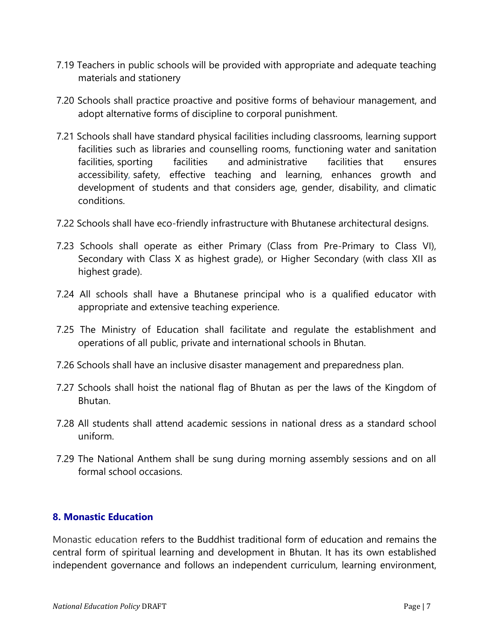- 7.19 Teachers in public schools will be provided with appropriate and adequate teaching materials and stationery
- 7.20 Schools shall practice proactive and positive forms of behaviour management, and adopt alternative forms of discipline to corporal punishment.
- 7.21 Schools shall have standard physical facilities including classrooms, learning support facilities such as libraries and counselling rooms, functioning water and sanitation facilities, sporting facilities and administrative facilities that ensures accessibility, safety, effective teaching and learning, enhances growth and development of students and that considers age, gender, disability, and climatic conditions.
- 7.22 Schools shall have eco-friendly infrastructure with Bhutanese architectural designs.
- 7.23 Schools shall operate as either Primary (Class from Pre-Primary to Class VI), Secondary with Class X as highest grade), or Higher Secondary (with class XII as highest grade).
- 7.24 All schools shall have a Bhutanese principal who is a qualified educator with appropriate and extensive teaching experience.
- 7.25 The Ministry of Education shall facilitate and regulate the establishment and operations of all public, private and international schools in Bhutan.
- 7.26 Schools shall have an inclusive disaster management and preparedness plan.
- 7.27 Schools shall hoist the national flag of Bhutan as per the laws of the Kingdom of Bhutan.
- 7.28 All students shall attend academic sessions in national dress as a standard school uniform.
- 7.29 The National Anthem shall be sung during morning assembly sessions and on all formal school occasions.

### <span id="page-8-0"></span>**8. Monastic Education**

Monastic education refers to the Buddhist traditional form of education and remains the central form of spiritual learning and development in Bhutan. It has its own established independent governance and follows an independent curriculum, learning environment,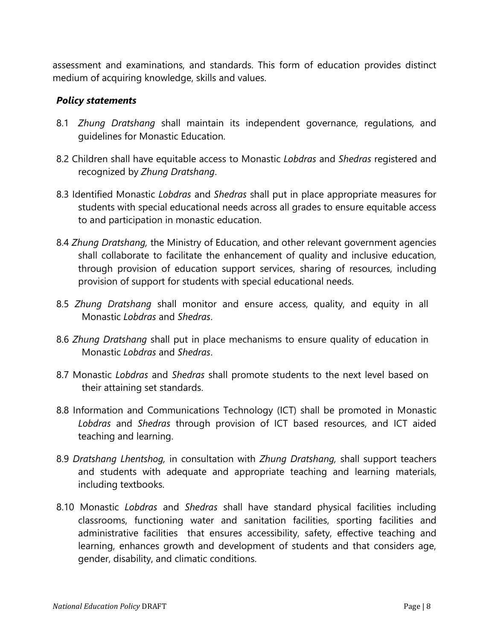assessment and examinations, and standards. This form of education provides distinct medium of acquiring knowledge, skills and values.

- 8.1 *Zhung Dratshang* shall maintain its independent governance, regulations, and guidelines for Monastic Education.
- 8.2 Children shall have equitable access to Monastic *Lobdras* and *Shedras* registered and recognized by *Zhung Dratshang*.
- 8.3 Identified Monastic *Lobdras* and *Shedras* shall put in place appropriate measures for students with special educational needs across all grades to ensure equitable access to and participation in monastic education.
- 8.4 *Zhung Dratshang,* the Ministry of Education, and other relevant government agencies shall collaborate to facilitate the enhancement of quality and inclusive education, through provision of education support services, sharing of resources, including provision of support for students with special educational needs.
- 8.5 *Zhung Dratshang* shall monitor and ensure access, quality, and equity in all Monastic *Lobdras* and *Shedras*.
- 8.6 *Zhung Dratshang* shall put in place mechanisms to ensure quality of education in Monastic *Lobdras* and *Shedras*.
- 8.7 Monastic *Lobdras* and *Shedras* shall promote students to the next level based on their attaining set standards.
- 8.8 Information and Communications Technology (ICT) shall be promoted in Monastic *Lobdras* and *Shedras* through provision of ICT based resources, and ICT aided teaching and learning.
- 8.9 *Dratshang Lhentshog,* in consultation with *Zhung Dratshang,* shall support teachers and students with adequate and appropriate teaching and learning materials, including textbooks.
- 8.10 Monastic *Lobdras* and *Shedras* shall have standard physical facilities including classrooms, functioning water and sanitation facilities, sporting facilities and administrative facilities that ensures accessibility, safety, effective teaching and learning, enhances growth and development of students and that considers age, gender, disability, and climatic conditions.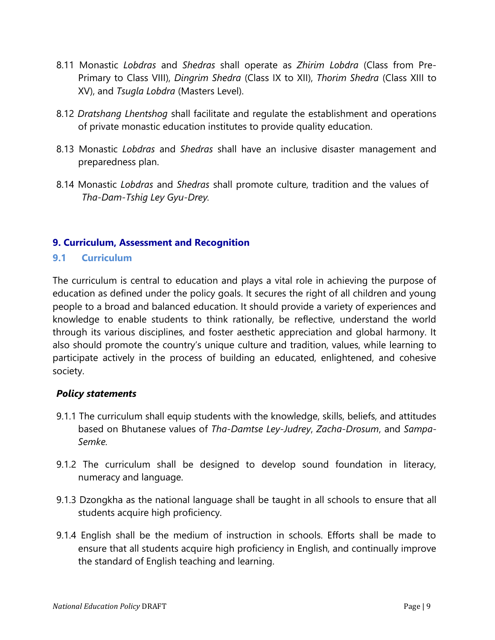- 8.11 Monastic *Lobdras* and *Shedras* shall operate as *Zhirim Lobdra* (Class from Pre-Primary to Class VIII), *Dingrim Shedra* (Class IX to XII), *Thorim Shedra* (Class XIII to XV), and *Tsugla Lobdra* (Masters Level).
- 8.12 *Dratshang Lhentshog* shall facilitate and regulate the establishment and operations of private monastic education institutes to provide quality education.
- 8.13 Monastic *Lobdras* and *Shedras* shall have an inclusive disaster management and preparedness plan.
- 8.14 Monastic *Lobdras* and *Shedras* shall promote culture, tradition and the values of *Tha-Dam-Tshig Ley Gyu-Drey.*

# <span id="page-10-0"></span>**9. Curriculum, Assessment and Recognition**

# <span id="page-10-1"></span>**9.1 Curriculum**

The curriculum is central to education and plays a vital role in achieving the purpose of education as defined under the policy goals. It secures the right of all children and young people to a broad and balanced education. It should provide a variety of experiences and knowledge to enable students to think rationally, be reflective, understand the world through its various disciplines, and foster aesthetic appreciation and global harmony. It also should promote the country's unique culture and tradition, values, while learning to participate actively in the process of building an educated, enlightened, and cohesive society.

- 9.1.1 The curriculum shall equip students with the knowledge, skills, beliefs, and attitudes based on Bhutanese values of *Tha-Damtse Ley-Judrey*, *Zacha-Drosum*, and *Sampa-Semke.*
- 9.1.2 The curriculum shall be designed to develop sound foundation in literacy, numeracy and language.
- 9.1.3 Dzongkha as the national language shall be taught in all schools to ensure that all students acquire high proficiency.
- 9.1.4 English shall be the medium of instruction in schools. Efforts shall be made to ensure that all students acquire high proficiency in English, and continually improve the standard of English teaching and learning.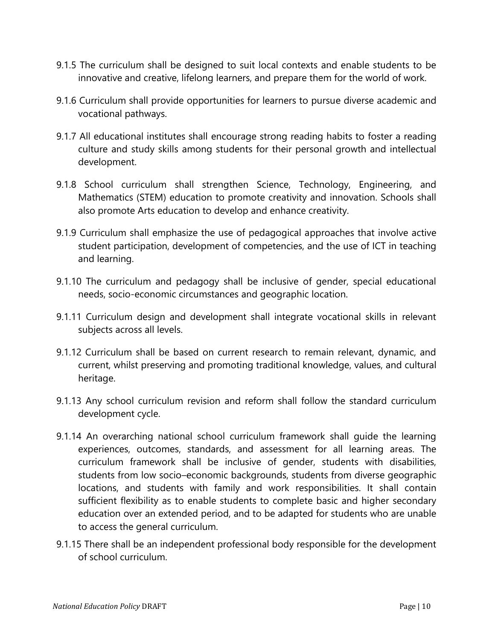- 9.1.5 The curriculum shall be designed to suit local contexts and enable students to be innovative and creative, lifelong learners, and prepare them for the world of work.
- 9.1.6 Curriculum shall provide opportunities for learners to pursue diverse academic and vocational pathways.
- 9.1.7 All educational institutes shall encourage strong reading habits to foster a reading culture and study skills among students for their personal growth and intellectual development.
- 9.1.8 School curriculum shall strengthen Science, Technology, Engineering, and Mathematics (STEM) education to promote creativity and innovation. Schools shall also promote Arts education to develop and enhance creativity.
- 9.1.9 Curriculum shall emphasize the use of pedagogical approaches that involve active student participation, development of competencies, and the use of ICT in teaching and learning.
- 9.1.10 The curriculum and pedagogy shall be inclusive of gender, special educational needs, socio-economic circumstances and geographic location.
- 9.1.11 Curriculum design and development shall integrate vocational skills in relevant subjects across all levels.
- 9.1.12 Curriculum shall be based on current research to remain relevant, dynamic, and current, whilst preserving and promoting traditional knowledge, values, and cultural heritage.
- 9.1.13 Any school curriculum revision and reform shall follow the standard curriculum development cycle.
- 9.1.14 An overarching national school curriculum framework shall guide the learning experiences, outcomes, standards, and assessment for all learning areas. The curriculum framework shall be inclusive of gender, students with disabilities, students from low socio–economic backgrounds, students from diverse geographic locations, and students with family and work responsibilities. It shall contain sufficient flexibility as to enable students to complete basic and higher secondary education over an extended period, and to be adapted for students who are unable to access the general curriculum.
- 9.1.15 There shall be an independent professional body responsible for the development of school curriculum.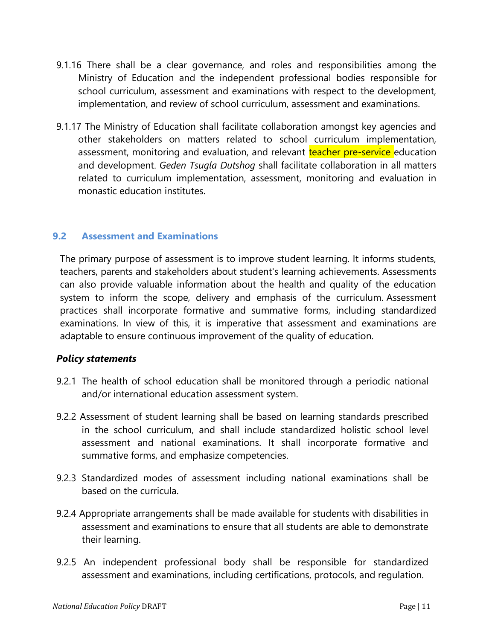- 9.1.16 There shall be a clear governance, and roles and responsibilities among the Ministry of Education and the independent professional bodies responsible for school curriculum, assessment and examinations with respect to the development, implementation, and review of school curriculum, assessment and examinations.
- 9.1.17 The Ministry of Education shall facilitate collaboration amongst key agencies and other stakeholders on matters related to school curriculum implementation, assessment, monitoring and evaluation, and relevant teacher pre-service education and development. *Geden Tsugla Dutshog* shall facilitate collaboration in all matters related to curriculum implementation, assessment, monitoring and evaluation in monastic education institutes.

### <span id="page-12-0"></span>**9.2 Assessment and Examinations**

The primary purpose of assessment is to improve student learning. It informs students, teachers, parents and stakeholders about student's learning achievements. Assessments can also provide valuable information about the health and quality of the education system to inform the scope, delivery and emphasis of the curriculum. Assessment practices shall incorporate formative and summative forms, including standardized examinations. In view of this, it is imperative that assessment and examinations are adaptable to ensure continuous improvement of the quality of education.

- 9.2.1 The health of school education shall be monitored through a periodic national and/or international education assessment system.
- 9.2.2 Assessment of student learning shall be based on learning standards prescribed in the school curriculum, and shall include standardized holistic school level assessment and national examinations. It shall incorporate formative and summative forms, and emphasize competencies.
- 9.2.3 Standardized modes of assessment including national examinations shall be based on the curricula.
- 9.2.4 Appropriate arrangements shall be made available for students with disabilities in assessment and examinations to ensure that all students are able to demonstrate their learning.
- 9.2.5 An independent professional body shall be responsible for standardized assessment and examinations, including certifications, protocols, and regulation.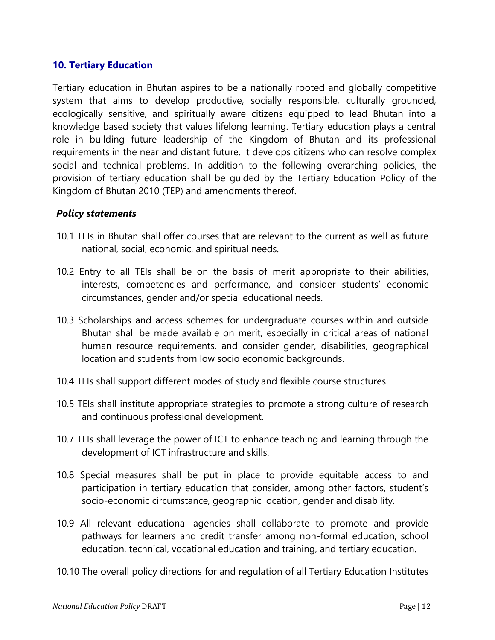#### <span id="page-13-0"></span>**10. Tertiary Education**

Tertiary education in Bhutan aspires to be a nationally rooted and globally competitive system that aims to develop productive, socially responsible, culturally grounded, ecologically sensitive, and spiritually aware citizens equipped to lead Bhutan into a knowledge based society that values lifelong learning. Tertiary education plays a central role in building future leadership of the Kingdom of Bhutan and its professional requirements in the near and distant future. It develops citizens who can resolve complex social and technical problems. In addition to the following overarching policies, the provision of tertiary education shall be guided by the Tertiary Education Policy of the Kingdom of Bhutan 2010 (TEP) and amendments thereof.

- 10.1 TEIs in Bhutan shall offer courses that are relevant to the current as well as future national, social, economic, and spiritual needs.
- 10.2 Entry to all TEIs shall be on the basis of merit appropriate to their abilities, interests, competencies and performance, and consider students' economic circumstances, gender and/or special educational needs.
- 10.3 Scholarships and access schemes for undergraduate courses within and outside Bhutan shall be made available on merit, especially in critical areas of national human resource requirements, and consider gender, disabilities, geographical location and students from low socio economic backgrounds.
- 10.4 TEIs shall support different modes of study and flexible course structures.
- 10.5 TEIs shall institute appropriate strategies to promote a strong culture of research and continuous professional development.
- 10.7 TEIs shall leverage the power of ICT to enhance teaching and learning through the development of ICT infrastructure and skills.
- 10.8 Special measures shall be put in place to provide equitable access to and participation in tertiary education that consider, among other factors, student's socio-economic circumstance, geographic location, gender and disability.
- 10.9 All relevant educational agencies shall collaborate to promote and provide pathways for learners and credit transfer among non-formal education, school education, technical, vocational education and training, and tertiary education.
- 10.10 The overall policy directions for and regulation of all Tertiary Education Institutes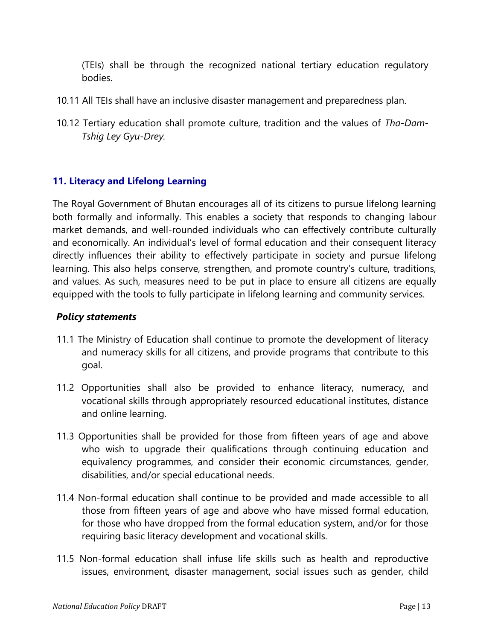(TEIs) shall be through the recognized national tertiary education regulatory bodies.

- 10.11 All TEIs shall have an inclusive disaster management and preparedness plan.
- 10.12 Tertiary education shall promote culture, tradition and the values of *Tha-Dam-Tshig Ley Gyu-Drey.*

# <span id="page-14-0"></span>**11. Literacy and Lifelong Learning**

The Royal Government of Bhutan encourages all of its citizens to pursue lifelong learning both formally and informally. This enables a society that responds to changing labour market demands, and well-rounded individuals who can effectively contribute culturally and economically. An individual's level of formal education and their consequent literacy directly influences their ability to effectively participate in society and pursue lifelong learning. This also helps conserve, strengthen, and promote country's culture, traditions, and values. As such, measures need to be put in place to ensure all citizens are equally equipped with the tools to fully participate in lifelong learning and community services.

- 11.1 The Ministry of Education shall continue to promote the development of literacy and numeracy skills for all citizens, and provide programs that contribute to this goal.
- 11.2 Opportunities shall also be provided to enhance literacy, numeracy, and vocational skills through appropriately resourced educational institutes, distance and online learning.
- 11.3 Opportunities shall be provided for those from fifteen years of age and above who wish to upgrade their qualifications through continuing education and equivalency programmes, and consider their economic circumstances, gender, disabilities, and/or special educational needs.
- 11.4 Non-formal education shall continue to be provided and made accessible to all those from fifteen years of age and above who have missed formal education, for those who have dropped from the formal education system, and/or for those requiring basic literacy development and vocational skills.
- 11.5 Non-formal education shall infuse life skills such as health and reproductive issues, environment, disaster management, social issues such as gender, child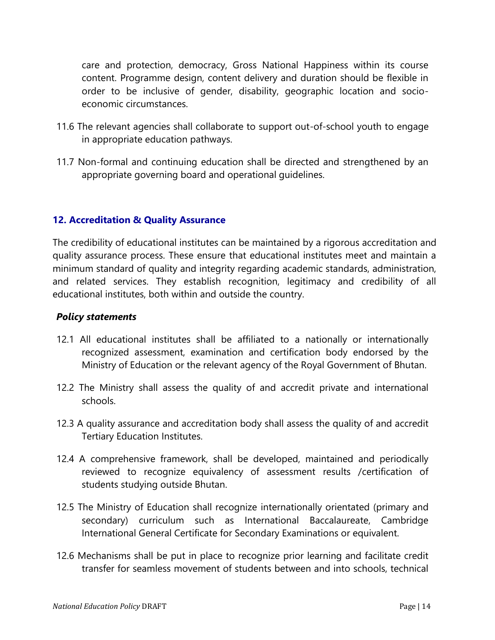care and protection, democracy, Gross National Happiness within its course content. Programme design, content delivery and duration should be flexible in order to be inclusive of gender, disability, geographic location and socioeconomic circumstances.

- 11.6 The relevant agencies shall collaborate to support out-of-school youth to engage in appropriate education pathways.
- 11.7 Non-formal and continuing education shall be directed and strengthened by an appropriate governing board and operational guidelines.

# <span id="page-15-0"></span>**12. Accreditation & Quality Assurance**

The credibility of educational institutes can be maintained by a rigorous accreditation and quality assurance process. These ensure that educational institutes meet and maintain a minimum standard of quality and integrity regarding academic standards, administration, and related services. They establish recognition, legitimacy and credibility of all educational institutes, both within and outside the country.

- 12.1 All educational institutes shall be affiliated to a nationally or internationally recognized assessment, examination and certification body endorsed by the Ministry of Education or the relevant agency of the Royal Government of Bhutan.
- 12.2 The Ministry shall assess the quality of and accredit private and international schools.
- 12.3 A quality assurance and accreditation body shall assess the quality of and accredit Tertiary Education Institutes.
- 12.4 A comprehensive framework, shall be developed, maintained and periodically reviewed to recognize equivalency of assessment results /certification of students studying outside Bhutan.
- 12.5 The Ministry of Education shall recognize internationally orientated (primary and secondary) curriculum such as International Baccalaureate, Cambridge International General Certificate for Secondary Examinations or equivalent.
- 12.6 Mechanisms shall be put in place to recognize prior learning and facilitate credit transfer for seamless movement of students between and into schools, technical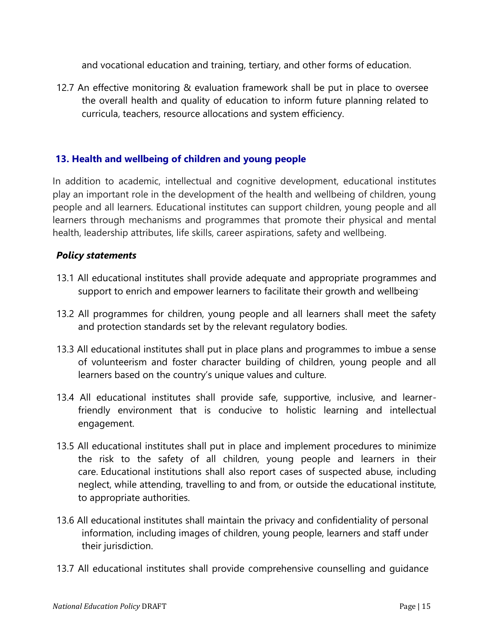and vocational education and training, tertiary, and other forms of education.

12.7 An effective monitoring & evaluation framework shall be put in place to oversee the overall health and quality of education to inform future planning related to curricula, teachers, resource allocations and system efficiency.

# <span id="page-16-0"></span>**13. Health and wellbeing of children and young people**

In addition to academic, intellectual and cognitive development, educational institutes play an important role in the development of the health and wellbeing of children, young people and all learners. Educational institutes can support children, young people and all learners through mechanisms and programmes that promote their physical and mental health, leadership attributes, life skills, career aspirations, safety and wellbeing.

- 13.1 All educational institutes shall provide adequate and appropriate programmes and support to enrich and empower learners to facilitate their growth and wellbeing.
- 13.2 All programmes for children, young people and all learners shall meet the safety and protection standards set by the relevant regulatory bodies.
- 13.3 All educational institutes shall put in place plans and programmes to imbue a sense of volunteerism and foster character building of children, young people and all learners based on the country's unique values and culture.
- 13.4 All educational institutes shall provide safe, supportive, inclusive, and learnerfriendly environment that is conducive to holistic learning and intellectual engagement.
- 13.5 All educational institutes shall put in place and implement procedures to minimize the risk to the safety of all children, young people and learners in their care. Educational institutions shall also report cases of suspected abuse, including neglect, while attending, travelling to and from, or outside the educational institute, to appropriate authorities.
- 13.6 All educational institutes shall maintain the privacy and confidentiality of personal information, including images of children, young people, learners and staff under their jurisdiction.
- 13.7 All educational institutes shall provide comprehensive counselling and guidance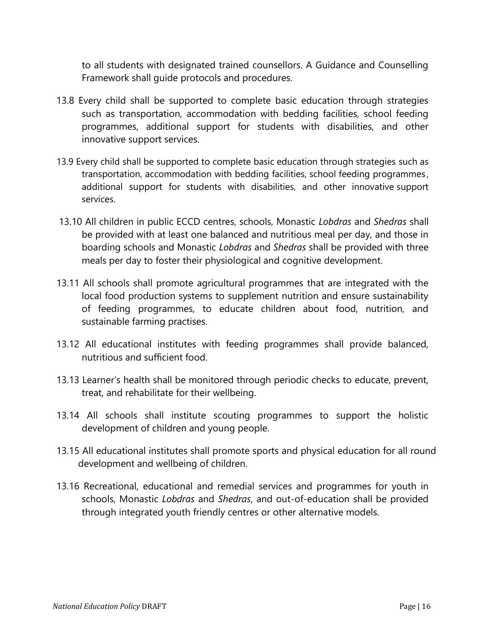to all students with designated trained counsellors. A Guidance and Counselling Framework shall guide protocols and procedures.

- 13.8 Every child shall be supported to complete basic education through strategies such as transportation, accommodation with bedding facilities, school feeding programmes, additional support for students with disabilities, and other innovative support services.
- 13.9 Every child shall be supported to complete basic education through strategies such as transportation, accommodation with bedding facilities, school feeding programmes , additional support for students with disabilities, and other innovative support services.
- 13.10 All children in public ECCD centres, schools, Monastic *Lobdras* and *Shedras* shall be provided with at least one balanced and nutritious meal per day, and those in boarding schools and Monastic *Lobdras* and *Shedras* shall be provided with three meals per day to foster their physiological and cognitive development.
- 13.11 All schools shall promote agricultural programmes that are integrated with the local food production systems to supplement nutrition and ensure sustainability of feeding programmes, to educate children about food, nutrition, and sustainable farming practises.
- 13.12 All educational institutes with feeding programmes shall provide balanced, nutritious and sufficient food.
- 13.13 Learner's health shall be monitored through periodic checks to educate, prevent, treat, and rehabilitate for their wellbeing.
- 13.14 All schools shall institute scouting programmes to support the holistic development of children and young people.
- 13.15 All educational institutes shall promote sports and physical education for all round development and wellbeing of children.
- 13.16 Recreational, educational and remedial services and programmes for youth in schools, Monastic *Lobdras* and *Shedras*, and out-of-education shall be provided through integrated youth friendly centres or other alternative models.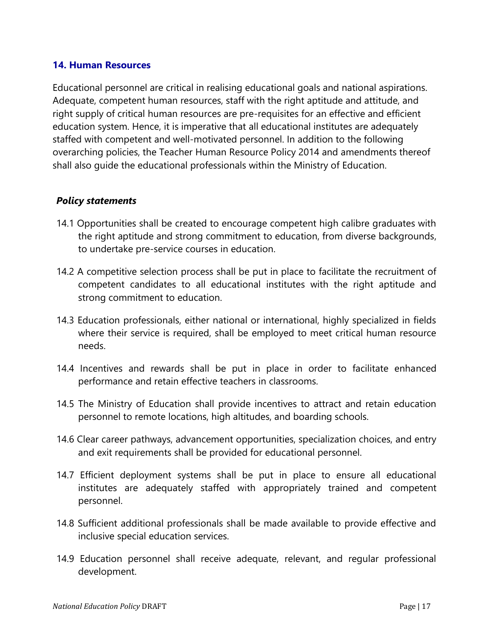#### <span id="page-18-0"></span>**14. Human Resources**

Educational personnel are critical in realising educational goals and national aspirations. Adequate, competent human resources, staff with the right aptitude and attitude, and right supply of critical human resources are pre-requisites for an effective and efficient education system. Hence, it is imperative that all educational institutes are adequately staffed with competent and well-motivated personnel. In addition to the following overarching policies, the Teacher Human Resource Policy 2014 and amendments thereof shall also guide the educational professionals within the Ministry of Education.

- 14.1 Opportunities shall be created to encourage competent high calibre graduates with the right aptitude and strong commitment to education, from diverse backgrounds, to undertake pre-service courses in education.
- 14.2 A competitive selection process shall be put in place to facilitate the recruitment of competent candidates to all educational institutes with the right aptitude and strong commitment to education.
- 14.3 Education professionals, either national or international, highly specialized in fields where their service is required, shall be employed to meet critical human resource needs.
- 14.4 Incentives and rewards shall be put in place in order to facilitate enhanced performance and retain effective teachers in classrooms.
- 14.5 The Ministry of Education shall provide incentives to attract and retain education personnel to remote locations, high altitudes, and boarding schools.
- 14.6 Clear career pathways, advancement opportunities, specialization choices, and entry and exit requirements shall be provided for educational personnel.
- 14.7 Efficient deployment systems shall be put in place to ensure all educational institutes are adequately staffed with appropriately trained and competent personnel.
- 14.8 Sufficient additional professionals shall be made available to provide effective and inclusive special education services.
- 14.9 Education personnel shall receive adequate, relevant, and regular professional development.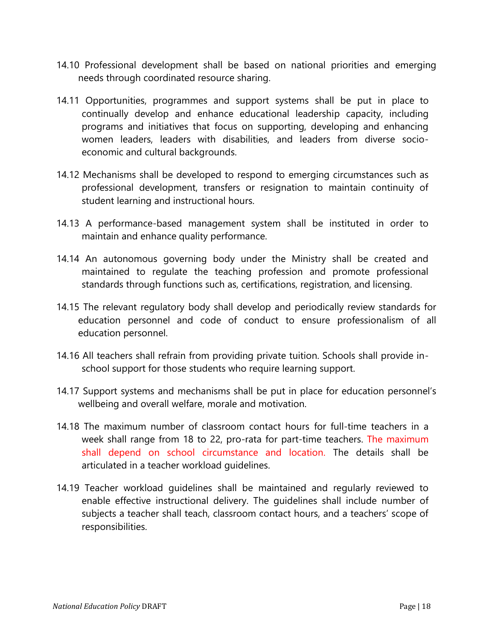- 14.10 Professional development shall be based on national priorities and emerging needs through coordinated resource sharing.
- 14.11 Opportunities, programmes and support systems shall be put in place to continually develop and enhance educational leadership capacity, including programs and initiatives that focus on supporting, developing and enhancing women leaders, leaders with disabilities, and leaders from diverse socioeconomic and cultural backgrounds.
- 14.12 Mechanisms shall be developed to respond to emerging circumstances such as professional development, transfers or resignation to maintain continuity of student learning and instructional hours.
- 14.13 A performance-based management system shall be instituted in order to maintain and enhance quality performance.
- 14.14 An autonomous governing body under the Ministry shall be created and maintained to regulate the teaching profession and promote professional standards through functions such as, certifications, registration, and licensing.
- 14.15 The relevant regulatory body shall develop and periodically review standards for education personnel and code of conduct to ensure professionalism of all education personnel.
- 14.16 All teachers shall refrain from providing private tuition. Schools shall provide inschool support for those students who require learning support.
- 14.17 Support systems and mechanisms shall be put in place for education personnel's wellbeing and overall welfare, morale and motivation.
- 14.18 The maximum number of classroom contact hours for full-time teachers in a week shall range from 18 to 22, pro-rata for part-time teachers. The maximum shall depend on school circumstance and location. The details shall be articulated in a teacher workload guidelines.
- 14.19 Teacher workload guidelines shall be maintained and regularly reviewed to enable effective instructional delivery. The guidelines shall include number of subjects a teacher shall teach, classroom contact hours, and a teachers' scope of responsibilities.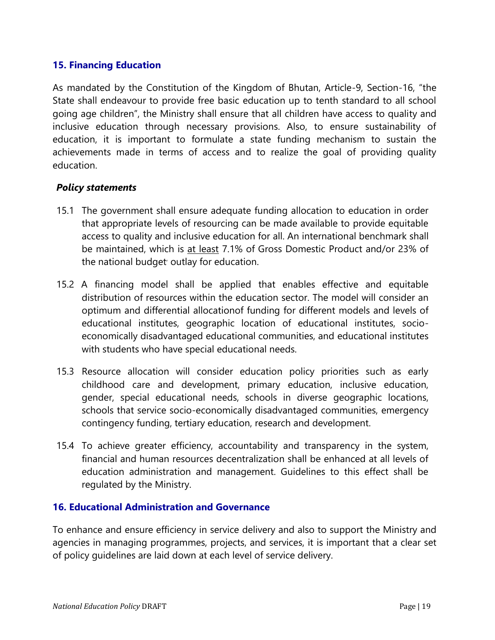# <span id="page-20-0"></span>**15. Financing Education**

As mandated by the Constitution of the Kingdom of Bhutan, Article-9, Section-16, "the State shall endeavour to provide free basic education up to tenth standard to all school going age children", the Ministry shall ensure that all children have access to quality and inclusive education through necessary provisions. Also, to ensure sustainability of education, it is important to formulate a state funding mechanism to sustain the achievements made in terms of access and to realize the goal of providing quality education.

### *Policy statements*

- 15.1 The government shall ensure adequate funding allocation to education in order that appropriate levels of resourcing can be made available to provide equitable access to quality and inclusive education for all. An international benchmark shall be maintained, which is at least 7.1% of Gross Domestic Product and/or 23% of the national budget outlay for education.
- 15.2 A financing model shall be applied that enables effective and equitable distribution of resources within the education sector. The model will consider an optimum and differential allocationof funding for different models and levels of educational institutes, geographic location of educational institutes, socioeconomically disadvantaged educational communities, and educational institutes with students who have special educational needs.
- 15.3 Resource allocation will consider education policy priorities such as early childhood care and development, primary education, inclusive education, gender, special educational needs, schools in diverse geographic locations, schools that service socio-economically disadvantaged communities, emergency contingency funding, tertiary education, research and development.
- 15.4 To achieve greater efficiency, accountability and transparency in the system, financial and human resources decentralization shall be enhanced at all levels of education administration and management. Guidelines to this effect shall be regulated by the Ministry.

### <span id="page-20-1"></span>**16. Educational Administration and Governance**

To enhance and ensure efficiency in service delivery and also to support the Ministry and agencies in managing programmes, projects, and services, it is important that a clear set of policy guidelines are laid down at each level of service delivery.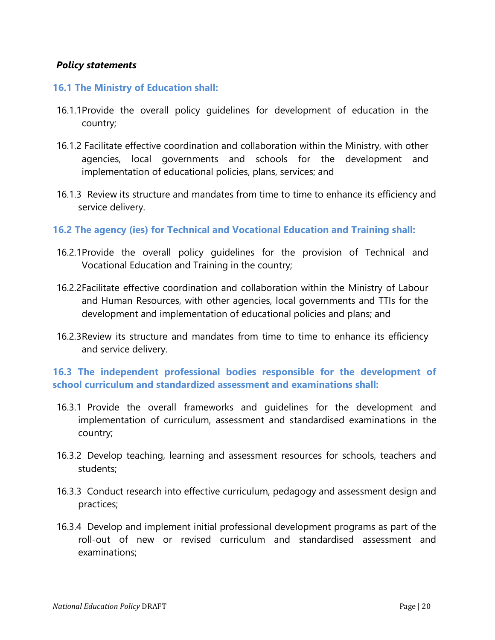### *Policy statements*

#### **16.1 The Ministry of Education shall:**

- 16.1.1Provide the overall policy guidelines for development of education in the country;
- 16.1.2 Facilitate effective coordination and collaboration within the Ministry, with other agencies, local governments and schools for the development and implementation of educational policies, plans, services; and
- 16.1.3 Review its structure and mandates from time to time to enhance its efficiency and service delivery.
- **16.2 The agency (ies) for Technical and Vocational Education and Training shall:**
- 16.2.1Provide the overall policy guidelines for the provision of Technical and Vocational Education and Training in the country;
- 16.2.2Facilitate effective coordination and collaboration within the Ministry of Labour and Human Resources, with other agencies, local governments and TTIs for the development and implementation of educational policies and plans; and
- 16.2.3Review its structure and mandates from time to time to enhance its efficiency and service delivery.

# **16.3 The independent professional bodies responsible for the development of school curriculum and standardized assessment and examinations shall:**

- 16.3.1 Provide the overall frameworks and guidelines for the development and implementation of curriculum, assessment and standardised examinations in the country;
- 16.3.2 Develop teaching, learning and assessment resources for schools, teachers and students;
- 16.3.3 Conduct research into effective curriculum, pedagogy and assessment design and practices;
- 16.3.4 Develop and implement initial professional development programs as part of the roll-out of new or revised curriculum and standardised assessment and examinations;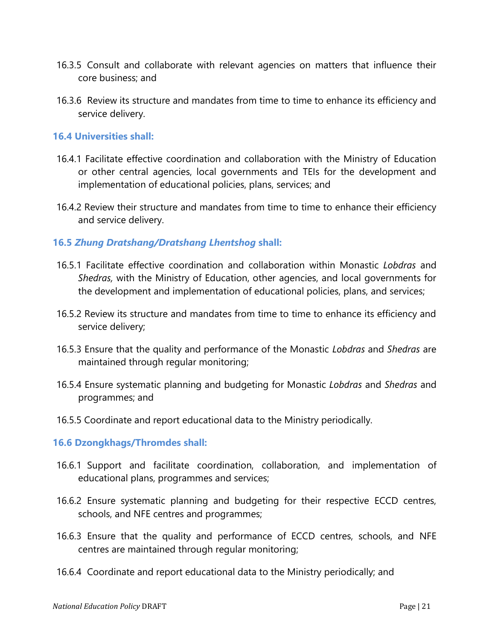- 16.3.5 Consult and collaborate with relevant agencies on matters that influence their core business; and
- 16.3.6 Review its structure and mandates from time to time to enhance its efficiency and service delivery.

#### **16.4 Universities shall:**

- 16.4.1 Facilitate effective coordination and collaboration with the Ministry of Education or other central agencies, local governments and TEIs for the development and implementation of educational policies, plans, services; and
- 16.4.2 Review their structure and mandates from time to time to enhance their efficiency and service delivery.

### **16.5** *Zhung Dratshang/Dratshang Lhentshog* **shall:**

- 16.5.1 Facilitate effective coordination and collaboration within Monastic *Lobdras* and *Shedras,* with the Ministry of Education, other agencies, and local governments for the development and implementation of educational policies, plans, and services;
- 16.5.2 Review its structure and mandates from time to time to enhance its efficiency and service delivery;
- 16.5.3 Ensure that the quality and performance of the Monastic *Lobdras* and *Shedras* are maintained through regular monitoring;
- 16.5.4 Ensure systematic planning and budgeting for Monastic *Lobdras* and *Shedras* and programmes; and
- 16.5.5 Coordinate and report educational data to the Ministry periodically.

#### **16.6 Dzongkhags/Thromdes shall:**

- 16.6.1 Support and facilitate coordination, collaboration, and implementation of educational plans, programmes and services;
- 16.6.2 Ensure systematic planning and budgeting for their respective ECCD centres, schools, and NFE centres and programmes;
- 16.6.3 Ensure that the quality and performance of ECCD centres, schools, and NFE centres are maintained through regular monitoring;
- 16.6.4 Coordinate and report educational data to the Ministry periodically; and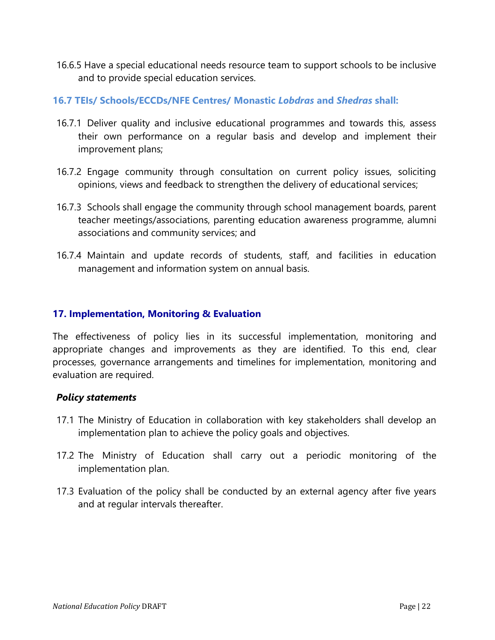16.6.5 Have a special educational needs resource team to support schools to be inclusive and to provide special education services.

# **16.7 TEIs/ Schools/ECCDs/NFE Centres/ Monastic** *Lobdras* **and** *Shedras* **shall:**

- 16.7.1 Deliver quality and inclusive educational programmes and towards this, assess their own performance on a regular basis and develop and implement their improvement plans;
- 16.7.2 Engage community through consultation on current policy issues, soliciting opinions, views and feedback to strengthen the delivery of educational services;
- 16.7.3 Schools shall engage the community through school management boards, parent teacher meetings/associations, parenting education awareness programme, alumni associations and community services; and
- 16.7.4 Maintain and update records of students, staff, and facilities in education management and information system on annual basis.

### <span id="page-23-0"></span>**17. Implementation, Monitoring & Evaluation**

The effectiveness of policy lies in its successful implementation, monitoring and appropriate changes and improvements as they are identified. To this end, clear processes, governance arrangements and timelines for implementation, monitoring and evaluation are required.

- 17.1 The Ministry of Education in collaboration with key stakeholders shall develop an implementation plan to achieve the policy goals and objectives.
- 17.2 The Ministry of Education shall carry out a periodic monitoring of the implementation plan.
- 17.3 Evaluation of the policy shall be conducted by an external agency after five years and at regular intervals thereafter.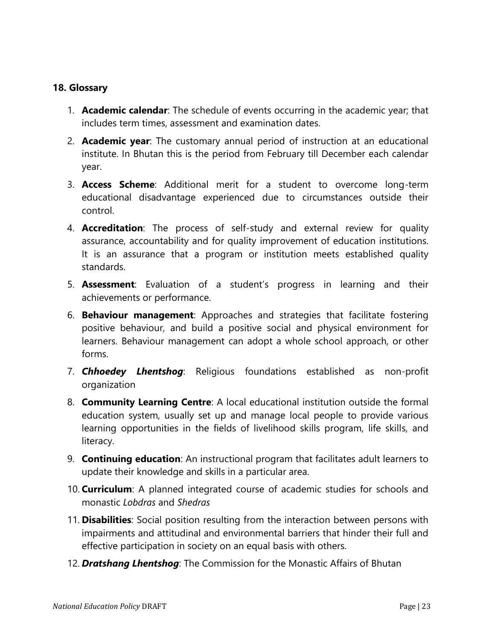## <span id="page-24-0"></span>**18. Glossary**

- 1. **Academic calendar**: The schedule of events occurring in the academic year; that includes term times, assessment and examination dates.
- 2. **Academic year**: The customary annual period of instruction at an educational institute. In Bhutan this is the period from February till December each calendar year.
- 3. **Access Scheme**: Additional merit for a student to overcome long-term educational disadvantage experienced due to circumstances outside their control.
- 4. **Accreditation**: The process of self-study and external review for quality assurance, accountability and for quality improvement of education institutions. It is an assurance that a program or institution meets established quality standards.
- 5. **Assessment**: Evaluation of a student's progress in learning and their achievements or performance.
- 6. **Behaviour management**: Approaches and strategies that facilitate fostering positive behaviour, and build a positive social and physical environment for learners. Behaviour management can adopt a whole school approach, or other forms.
- 7. *Chhoedey Lhentshog*: Religious foundations established as non-profit organization
- 8. **Community Learning Centre**: A local educational institution outside the formal education system, usually set up and manage local people to provide various learning opportunities in the fields of livelihood skills program, life skills, and literacy.
- 9. **Continuing education**: An instructional program that facilitates adult learners to update their knowledge and skills in a particular area.
- 10. **Curriculum**: A planned integrated course of academic studies for schools and monastic *Lobdras* and *Shedras*
- 11. **Disabilities**: Social position resulting from the interaction between persons with impairments and attitudinal and environmental barriers that hinder their full and effective participation in society on an equal basis with others.
- 12. *Dratshang Lhentshog*: The Commission for the Monastic Affairs of Bhutan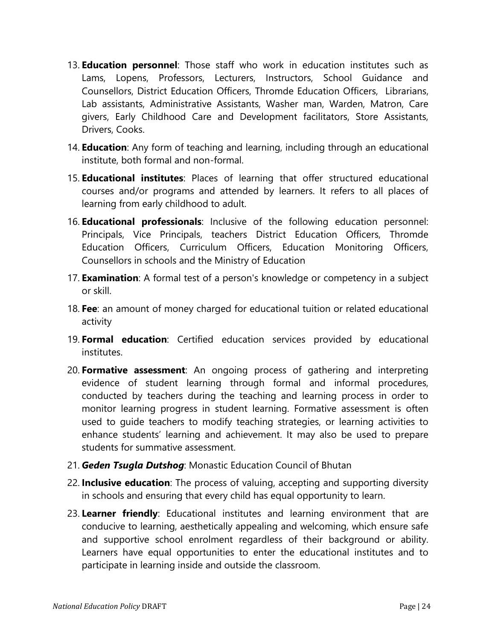- 13. **Education personnel**: Those staff who work in education institutes such as Lams, Lopens, Professors, Lecturers, Instructors, School Guidance and Counsellors, District Education Officers, Thromde Education Officers, Librarians, Lab assistants, Administrative Assistants, Washer man, Warden, Matron, Care givers, Early Childhood Care and Development facilitators, Store Assistants, Drivers, Cooks.
- 14. **Education**: Any form of teaching and learning, including through an educational institute, both formal and non-formal.
- 15. **Educational institutes**: Places of learning that offer structured educational courses and/or programs and attended by learners. It refers to all places of learning from early childhood to adult.
- 16. **Educational professionals**: Inclusive of the following education personnel: Principals, Vice Principals, teachers District Education Officers, Thromde Education Officers, Curriculum Officers, Education Monitoring Officers, Counsellors in schools and the Ministry of Education
- 17. **Examination**: A formal test of a person's knowledge or competency in a subject or skill.
- 18. **Fee**: an amount of money charged for educational tuition or related educational activity
- 19. **Formal education**: Certified education services provided by educational institutes.
- 20. **Formative assessment**: An ongoing process of gathering and interpreting evidence of student learning through formal and informal procedures, conducted by teachers during the teaching and learning process in order to monitor learning progress in student learning. Formative assessment is often used to guide teachers to modify teaching strategies, or learning activities to enhance students' learning and achievement. It may also be used to prepare students for summative assessment.
- 21. *Geden Tsugla Dutshog*: Monastic Education Council of Bhutan
- 22. **Inclusive education**: The process of valuing, accepting and supporting diversity in schools and ensuring that every child has equal opportunity to learn.
- 23. **Learner friendly**: Educational institutes and learning environment that are conducive to learning, aesthetically appealing and welcoming, which ensure safe and supportive school enrolment regardless of their background or ability. Learners have equal opportunities to enter the educational institutes and to participate in learning inside and outside the classroom.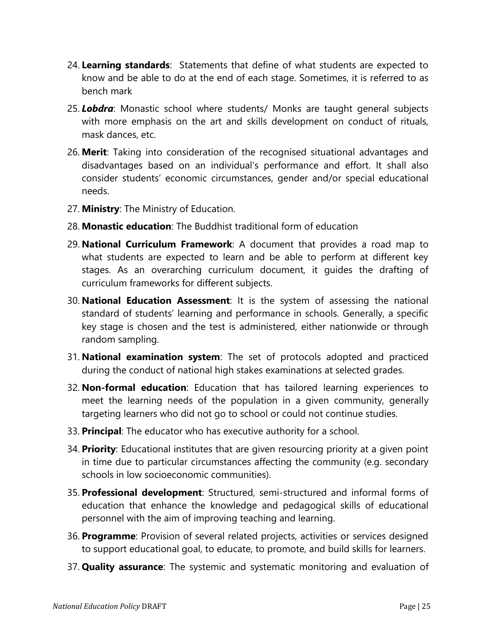- 24. **Learning standards**: Statements that define of what students are expected to know and be able to do at the end of each stage. Sometimes, it is referred to as bench mark
- 25. *Lobdra*: Monastic school where students/ Monks are taught general subjects with more emphasis on the art and skills development on conduct of rituals, mask dances, etc.
- 26. **Merit**: Taking into consideration of the recognised situational advantages and disadvantages based on an individual's performance and effort. It shall also consider students' economic circumstances, gender and/or special educational needs.
- 27. **Ministry**: The Ministry of Education.
- 28. **Monastic education**: The Buddhist traditional form of education
- 29. **National Curriculum Framework**: A document that provides a road map to what students are expected to learn and be able to perform at different key stages. As an overarching curriculum document, it guides the drafting of curriculum frameworks for different subjects.
- 30. **National Education Assessment**: It is the system of assessing the national standard of students' learning and performance in schools. Generally, a specific key stage is chosen and the test is administered, either nationwide or through random sampling.
- 31. **National examination system**: The set of protocols adopted and practiced during the conduct of national high stakes examinations at selected grades.
- 32. **Non-formal education**: Education that has tailored learning experiences to meet the learning needs of the population in a given community, generally targeting learners who did not go to school or could not continue studies.
- 33. **Principal**: The educator who has executive authority for a school.
- 34. **Priority**: Educational institutes that are given resourcing priority at a given point in time due to particular circumstances affecting the community (e.g. secondary schools in low socioeconomic communities).
- 35. **Professional development**: Structured, semi-structured and informal forms of education that enhance the knowledge and pedagogical skills of educational personnel with the aim of improving teaching and learning.
- 36. **Programme**: Provision of several related projects, activities or services designed to support educational goal, to educate, to promote, and build skills for learners.
- 37. **Quality assurance**: The systemic and systematic monitoring and evaluation of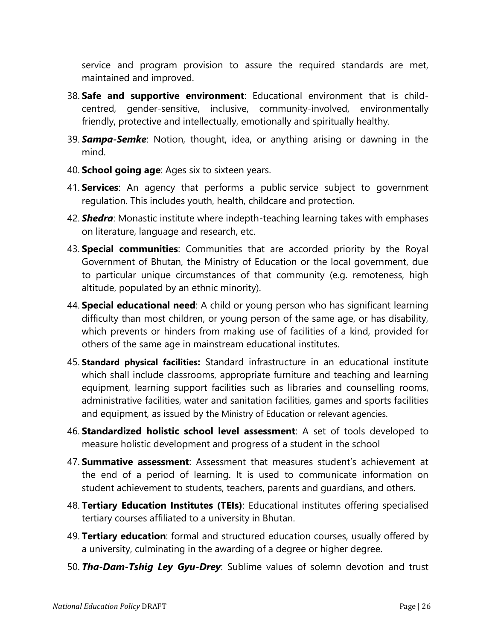service and program provision to assure the required standards are met, maintained and improved.

- 38. **Safe and supportive environment**: Educational environment that is childcentred, gender-sensitive, inclusive, community-involved, environmentally friendly, protective and intellectually, emotionally and spiritually healthy.
- 39. *Sampa-Semke*: Notion, thought, idea, or anything arising or dawning in the mind.
- 40. **School going age**: Ages six to sixteen years.
- 41. **Services**: An agency that performs a public service subject to government regulation. This includes youth, health, childcare and protection.
- 42. *Shedra*: Monastic institute where indepth-teaching learning takes with emphases on literature, language and research, etc.
- 43. **Special communities**: Communities that are accorded priority by the Royal Government of Bhutan, the Ministry of Education or the local government, due to particular unique circumstances of that community (e.g. remoteness, high altitude, populated by an ethnic minority).
- 44. **Special educational need**: A child or young person who has significant learning difficulty than most children, or young person of the same age, or has disability, which prevents or hinders from making use of facilities of a kind, provided for others of the same age in mainstream educational institutes.
- 45. **Standard physical facilities:** Standard infrastructure in an educational institute which shall include classrooms, appropriate furniture and teaching and learning equipment, learning support facilities such as libraries and counselling rooms, administrative facilities, water and sanitation facilities, games and sports facilities and equipment, as issued by the Ministry of Education or relevant agencies.
- 46. **Standardized holistic school level assessment**: A set of tools developed to measure holistic development and progress of a student in the school
- 47. **Summative assessment**: Assessment that measures student's achievement at the end of a period of learning. It is used to communicate information on student achievement to students, teachers, parents and guardians, and others.
- 48. **Tertiary Education Institutes (TEIs)**: Educational institutes offering specialised tertiary courses affiliated to a university in Bhutan.
- 49. **Tertiary education**: formal and structured education courses, usually offered by a university, culminating in the awarding of a degree or higher degree.
- 50. *Tha-Dam-Tshig Ley Gyu-Drey*: Sublime values of solemn devotion and trust